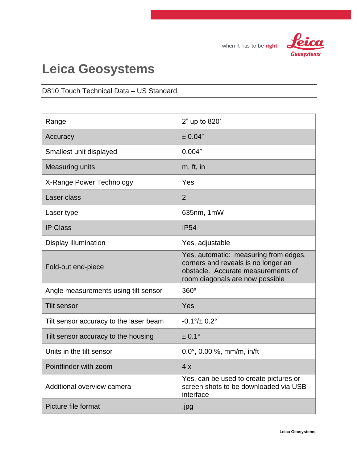

## **Leica Geosystems**

#### D810 Touch Technical Data – US Standard

| Range                                  | 2" up to 820'                                                                                                                                         |
|----------------------------------------|-------------------------------------------------------------------------------------------------------------------------------------------------------|
| Accuracy                               | ± 0.04"                                                                                                                                               |
| Smallest unit displayed                | 0.004"                                                                                                                                                |
| <b>Measuring units</b>                 | m, ft, in                                                                                                                                             |
| X-Range Power Technology               | Yes                                                                                                                                                   |
| Laser class                            | $\overline{2}$                                                                                                                                        |
| Laser type                             | 635nm, 1mW                                                                                                                                            |
| <b>IP Class</b>                        | <b>IP54</b>                                                                                                                                           |
| Display illumination                   | Yes, adjustable                                                                                                                                       |
| Fold-out end-piece                     | Yes, automatic: measuring from edges,<br>corners and reveals is no longer an<br>obstacle. Accurate measurements of<br>room diagonals are now possible |
| Angle measurements using tilt sensor   | $360^\circ$                                                                                                                                           |
| <b>Tilt sensor</b>                     | Yes                                                                                                                                                   |
| Tilt sensor accuracy to the laser beam | $-0.1\% \pm 0.2\degree$                                                                                                                               |
| Tilt sensor accuracy to the housing    | $± 0.1^{\circ}$                                                                                                                                       |
| Units in the tilt sensor               | $0.0^{\circ}$ , 0.00 %, mm/m, in/ft                                                                                                                   |
| Pointfinder with zoom                  | 4x                                                                                                                                                    |
| Additional overview camera             | Yes, can be used to create pictures or<br>screen shots to be downloaded via USB<br>interface                                                          |
| Picture file format                    | .jpg                                                                                                                                                  |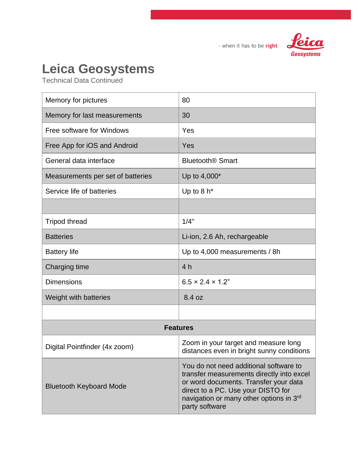

## **Leica Geosystems**

| Memory for pictures               | 80                                                                                                                                                                                                                              |
|-----------------------------------|---------------------------------------------------------------------------------------------------------------------------------------------------------------------------------------------------------------------------------|
| Memory for last measurements      | 30                                                                                                                                                                                                                              |
| Free software for Windows         | Yes                                                                                                                                                                                                                             |
| Free App for iOS and Android      | Yes                                                                                                                                                                                                                             |
| General data interface            | <b>Bluetooth<sup>®</sup> Smart</b>                                                                                                                                                                                              |
| Measurements per set of batteries | Up to 4,000*                                                                                                                                                                                                                    |
| Service life of batteries         | Up to $8 h*$                                                                                                                                                                                                                    |
|                                   |                                                                                                                                                                                                                                 |
| <b>Tripod thread</b>              | 1/4"                                                                                                                                                                                                                            |
| <b>Batteries</b>                  | Li-ion, 2.6 Ah, rechargeable                                                                                                                                                                                                    |
| <b>Battery life</b>               | Up to 4,000 measurements / 8h                                                                                                                                                                                                   |
| Charging time                     | 4 <sub>h</sub>                                                                                                                                                                                                                  |
| <b>Dimensions</b>                 | $6.5 \times 2.4 \times 1.2$ "                                                                                                                                                                                                   |
| Weight with batteries             | 8.4 oz                                                                                                                                                                                                                          |
|                                   |                                                                                                                                                                                                                                 |
| <b>Features</b>                   |                                                                                                                                                                                                                                 |
| Digital Pointfinder (4x zoom)     | Zoom in your target and measure long<br>distances even in bright sunny conditions                                                                                                                                               |
| <b>Bluetooth Keyboard Mode</b>    | You do not need additional software to<br>transfer measurements directly into excel<br>or word documents. Transfer your data<br>direct to a PC. Use your DISTO for<br>navigation or many other options in 3rd<br>party software |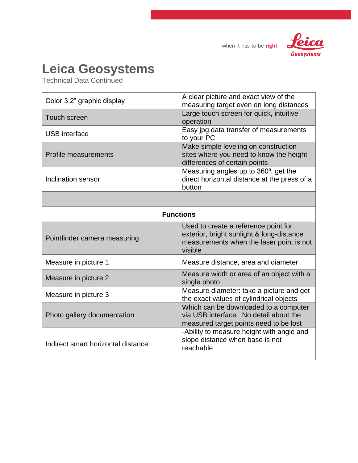



### **Leica Geosystems**

| Color 3.2" graphic display         | A clear picture and exact view of the<br>measuring target even on long distances                                                         |
|------------------------------------|------------------------------------------------------------------------------------------------------------------------------------------|
| <b>Touch screen</b>                | Large touch screen for quick, intuitive<br>operation                                                                                     |
| <b>USB</b> interface               | Easy jpg data transfer of measurements<br>to your PC                                                                                     |
| <b>Profile measurements</b>        | Make simple leveling on construction<br>sites where you need to know the height<br>differences of certain points                         |
| Inclination sensor                 | Measuring angles up to 360°, get the<br>direct horizontal distance at the press of a<br>button                                           |
|                                    |                                                                                                                                          |
| <b>Functions</b>                   |                                                                                                                                          |
| Pointfinder camera measuring       | Used to create a reference point for<br>exterior, bright sunlight & long-distance<br>measurements when the laser point is not<br>visible |
| Measure in picture 1               | Measure distance, area and diameter                                                                                                      |
| Measure in picture 2               | Measure width or area of an object with a<br>single photo                                                                                |
| Measure in picture 3               | Measure diameter: take a picture and get<br>the exact values of cylindrical objects                                                      |
| Photo gallery documentation        | Which can be downloaded to a computer<br>via USB interface. No detail about the<br>measured target points need to be lost                |
| Indirect smart horizontal distance | -Ability to measure height with angle and<br>slope distance when base is not<br>reachable                                                |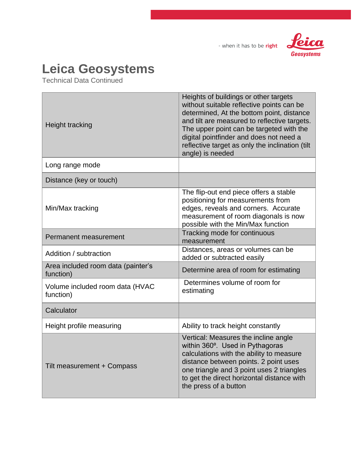



## **Leica Geosystems**

| Height tracking                                 | Heights of buildings or other targets<br>without suitable reflective points can be<br>determined, At the bottom point, distance<br>and tilt are measured to reflective targets.<br>The upper point can be targeted with the<br>digital pointfinder and does not need a<br>reflective target as only the inclination (tilt<br>angle) is needed |
|-------------------------------------------------|-----------------------------------------------------------------------------------------------------------------------------------------------------------------------------------------------------------------------------------------------------------------------------------------------------------------------------------------------|
| Long range mode                                 |                                                                                                                                                                                                                                                                                                                                               |
| Distance (key or touch)                         |                                                                                                                                                                                                                                                                                                                                               |
| Min/Max tracking                                | The flip-out end piece offers a stable<br>positioning for measurements from<br>edges, reveals and corners. Accurate<br>measurement of room diagonals is now<br>possible with the Min/Max function                                                                                                                                             |
| Permanent measurement                           | Tracking mode for continuous<br>measurement                                                                                                                                                                                                                                                                                                   |
| Addition / subtraction                          | Distances, areas or volumes can be<br>added or subtracted easily                                                                                                                                                                                                                                                                              |
| Area included room data (painter's<br>function) | Determine area of room for estimating                                                                                                                                                                                                                                                                                                         |
| Volume included room data (HVAC<br>function)    | Determines volume of room for<br>estimating                                                                                                                                                                                                                                                                                                   |
| Calculator                                      |                                                                                                                                                                                                                                                                                                                                               |
| Height profile measuring                        | Ability to track height constantly                                                                                                                                                                                                                                                                                                            |
| Tilt measurement + Compass                      | Vertical: Measures the incline angle<br>within 360°. Used in Pythagoras<br>calculations with the ability to measure<br>distance between points. 2 point uses<br>one triangle and 3 point uses 2 triangles<br>to get the direct horizontal distance with<br>the press of a button                                                              |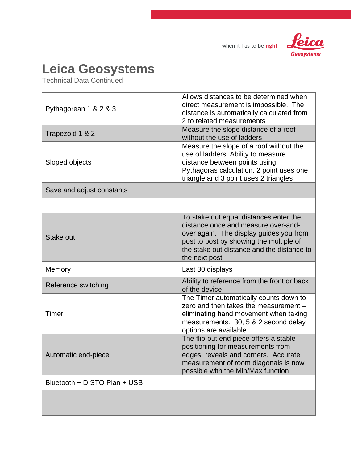



### **Leica Geosystems**

| Pythagorean 1 & 2 & 3        | Allows distances to be determined when<br>direct measurement is impossible. The<br>distance is automatically calculated from<br>2 to related measurements                                                                          |
|------------------------------|------------------------------------------------------------------------------------------------------------------------------------------------------------------------------------------------------------------------------------|
| Trapezoid 1 & 2              | Measure the slope distance of a roof<br>without the use of ladders                                                                                                                                                                 |
| Sloped objects               | Measure the slope of a roof without the<br>use of ladders. Ability to measure<br>distance between points using<br>Pythagoras calculation, 2 point uses one<br>triangle and 3 point uses 2 triangles                                |
| Save and adjust constants    |                                                                                                                                                                                                                                    |
|                              |                                                                                                                                                                                                                                    |
| Stake out                    | To stake out equal distances enter the<br>distance once and measure over-and-<br>over again. The display guides you from<br>post to post by showing the multiple of<br>the stake out distance and the distance to<br>the next post |
| Memory                       | Last 30 displays                                                                                                                                                                                                                   |
| Reference switching          | Ability to reference from the front or back<br>of the device                                                                                                                                                                       |
| Timer                        | The Timer automatically counts down to<br>zero and then takes the measurement -<br>eliminating hand movement when taking<br>measurements. 30, 5 & 2 second delay<br>options are available                                          |
| Automatic end-piece          | The flip-out end piece offers a stable<br>positioning for measurements from<br>edges, reveals and corners. Accurate<br>measurement of room diagonals is now<br>possible with the Min/Max function                                  |
| Bluetooth + DISTO Plan + USB |                                                                                                                                                                                                                                    |
|                              |                                                                                                                                                                                                                                    |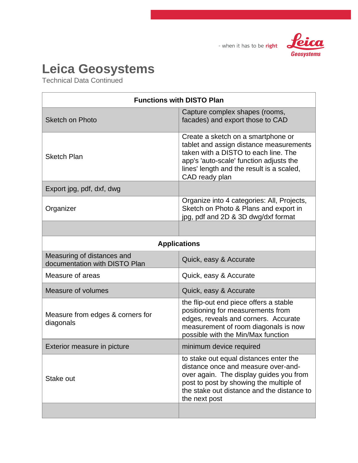

#### **Leica Geosystems**

| <b>Functions with DISTO Plan</b>                            |                                                                                                                                                                                                                                    |
|-------------------------------------------------------------|------------------------------------------------------------------------------------------------------------------------------------------------------------------------------------------------------------------------------------|
| <b>Sketch on Photo</b>                                      | Capture complex shapes (rooms,<br>facades) and export those to CAD                                                                                                                                                                 |
| <b>Sketch Plan</b>                                          | Create a sketch on a smartphone or<br>tablet and assign distance measurements<br>taken with a DISTO to each line. The<br>app's 'auto-scale' function adjusts the<br>lines' length and the result is a scaled,<br>CAD ready plan    |
| Export jpg, pdf, dxf, dwg                                   |                                                                                                                                                                                                                                    |
| Organizer                                                   | Organize into 4 categories: All, Projects,<br>Sketch on Photo & Plans and export in<br>jpg, pdf and 2D & 3D dwg/dxf format                                                                                                         |
|                                                             |                                                                                                                                                                                                                                    |
| <b>Applications</b>                                         |                                                                                                                                                                                                                                    |
| Measuring of distances and<br>documentation with DISTO Plan | Quick, easy & Accurate                                                                                                                                                                                                             |
| Measure of areas                                            | Quick, easy & Accurate                                                                                                                                                                                                             |
| Measure of volumes                                          | Quick, easy & Accurate                                                                                                                                                                                                             |
| Measure from edges & corners for<br>diagonals               | the flip-out end piece offers a stable<br>positioning for measurements from<br>edges, reveals and corners. Accurate<br>measurement of room diagonals is now<br>possible with the Min/Max function                                  |
| Exterior measure in picture                                 | minimum device required                                                                                                                                                                                                            |
| Stake out                                                   | to stake out equal distances enter the<br>distance once and measure over-and-<br>over again. The display guides you from<br>post to post by showing the multiple of<br>the stake out distance and the distance to<br>the next post |
|                                                             |                                                                                                                                                                                                                                    |